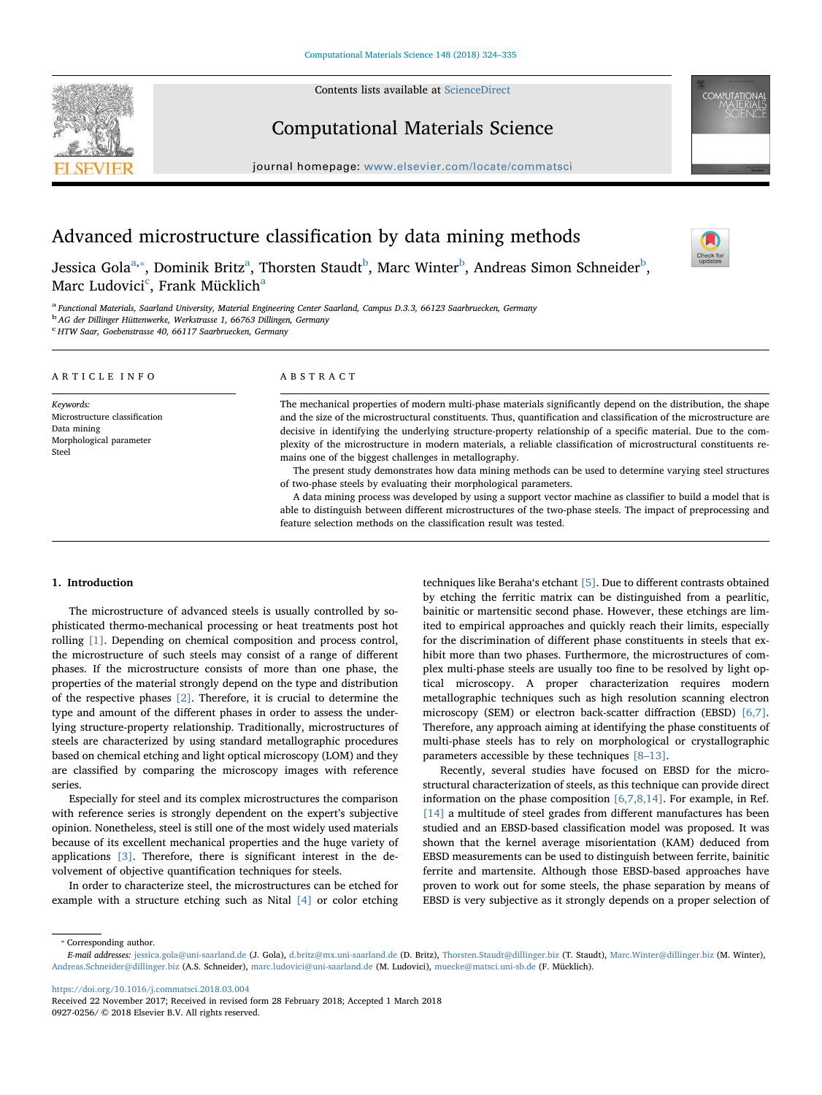

Contents lists available at [ScienceDirect](http://www.sciencedirect.com/science/journal/09270256)

Computational Materials Science

journal homepage: [www.elsevier.com/locate/commatsci](https://www.elsevier.com/locate/commatsci)



Check for<br>[T](http://crossmark.crossref.org/dialog/?doi=10.1016/j.commatsci.2018.03.004&domain=pdf)indates

# Advanced microstructure classification by data mining methods

Jessic[a](#page-0-0) Gola $^{\rm a, *},$  $^{\rm a, *},$  $^{\rm a, *},$  Dominik Britz $^{\rm a}$ , Thorsten Staudt $^{\rm b}$  $^{\rm b}$  $^{\rm b}$ , Marc Winter $^{\rm b}$ , Andreas Simon Schneider $^{\rm b}$ , Mar[c](#page-0-3) Ludovici<sup>c</sup>, Fr[a](#page-0-0)nk Mücklich<sup>a</sup>

<span id="page-0-0"></span><sup>a</sup> Functional Materials, Saarland University, Material Engineering Center Saarland, Campus D.3.3, 66123 Saarbruecken, Germany

<span id="page-0-2"></span><sup>b</sup>AG der Dillinger Hüttenwerke, Werkstrasse 1, 66763 Dillingen, Germany

<span id="page-0-3"></span><sup>c</sup> HTW Saar, Goebenstrasse 40, 66117 Saarbruecken, Germany

### ARTICLE INFO

Keywords: Microstructure classification Data mining Morphological parameter Steel

### ABSTRACT

The mechanical properties of modern multi-phase materials significantly depend on the distribution, the shape and the size of the microstructural constituents. Thus, quantification and classification of the microstructure are decisive in identifying the underlying structure-property relationship of a specific material. Due to the complexity of the microstructure in modern materials, a reliable classification of microstructural constituents remains one of the biggest challenges in metallography.

The present study demonstrates how data mining methods can be used to determine varying steel structures of two-phase steels by evaluating their morphological parameters.

A data mining process was developed by using a support vector machine as classifier to build a model that is able to distinguish between different microstructures of the two-phase steels. The impact of preprocessing and feature selection methods on the classification result was tested.

### 1. Introduction

The microstructure of advanced steels is usually controlled by sophisticated thermo-mechanical processing or heat treatments post hot rolling [\[1\]](#page-11-0). Depending on chemical composition and process control, the microstructure of such steels may consist of a range of different phases. If the microstructure consists of more than one phase, the properties of the material strongly depend on the type and distribution of the respective phases [\[2\].](#page-11-1) Therefore, it is crucial to determine the type and amount of the different phases in order to assess the underlying structure-property relationship. Traditionally, microstructures of steels are characterized by using standard metallographic procedures based on chemical etching and light optical microscopy (LOM) and they are classified by comparing the microscopy images with reference series.

Especially for steel and its complex microstructures the comparison with reference series is strongly dependent on the expert's subjective opinion. Nonetheless, steel is still one of the most widely used materials because of its excellent mechanical properties and the huge variety of applications [\[3\]](#page-11-2). Therefore, there is significant interest in the devolvement of objective quantification techniques for steels.

In order to characterize steel, the microstructures can be etched for example with a structure etching such as Nital [\[4\]](#page-11-3) or color etching

techniques like Beraha's etchant [\[5\]](#page-11-4). Due to different contrasts obtained by etching the ferritic matrix can be distinguished from a pearlitic, bainitic or martensitic second phase. However, these etchings are limited to empirical approaches and quickly reach their limits, especially for the discrimination of different phase constituents in steels that exhibit more than two phases. Furthermore, the microstructures of complex multi-phase steels are usually too fine to be resolved by light optical microscopy. A proper characterization requires modern metallographic techniques such as high resolution scanning electron microscopy (SEM) or electron back-scatter diffraction (EBSD) [\[6,7\]](#page-11-5). Therefore, any approach aiming at identifying the phase constituents of multi-phase steels has to rely on morphological or crystallographic parameters accessible by these techniques [8–[13\].](#page-11-6)

Recently, several studies have focused on EBSD for the microstructural characterization of steels, as this technique can provide direct information on the phase composition [\[6,7,8,14\].](#page-11-5) For example, in Ref. [\[14\]](#page-11-7) a multitude of steel grades from different manufactures has been studied and an EBSD-based classification model was proposed. It was shown that the kernel average misorientation (KAM) deduced from EBSD measurements can be used to distinguish between ferrite, bainitic ferrite and martensite. Although those EBSD-based approaches have proven to work out for some steels, the phase separation by means of EBSD is very subjective as it strongly depends on a proper selection of

<span id="page-0-1"></span>⁎ Corresponding author.

<https://doi.org/10.1016/j.commatsci.2018.03.004>

E-mail addresses: [jessica.gola@uni-saarland.de](mailto:jessica.gola@uni-saarland.de) (J. Gola), [d.britz@mx.uni-saarland.de](mailto:d.britz@mx.uni-saarland.de) (D. Britz), [Thorsten.Staudt@dillinger.biz](mailto:Thorsten.Staudt@dillinger.biz) (T. Staudt), [Marc.Winter@dillinger.biz](mailto:Marc.Winter@dillinger.biz) (M. Winter), [Andreas.Schneider@dillinger.biz](mailto:Andreas.Schneider@dillinger.biz) (A.S. Schneider), [marc.ludovici@uni-saarland.de](mailto:marc.ludovici@uni-saarland.de) (M. Ludovici), [muecke@matsci.uni-sb.de](mailto:muecke@matsci.uni-sb.de) (F. Mücklich).

Received 22 November 2017; Received in revised form 28 February 2018; Accepted 1 March 2018 0927-0256/ © 2018 Elsevier B.V. All rights reserved.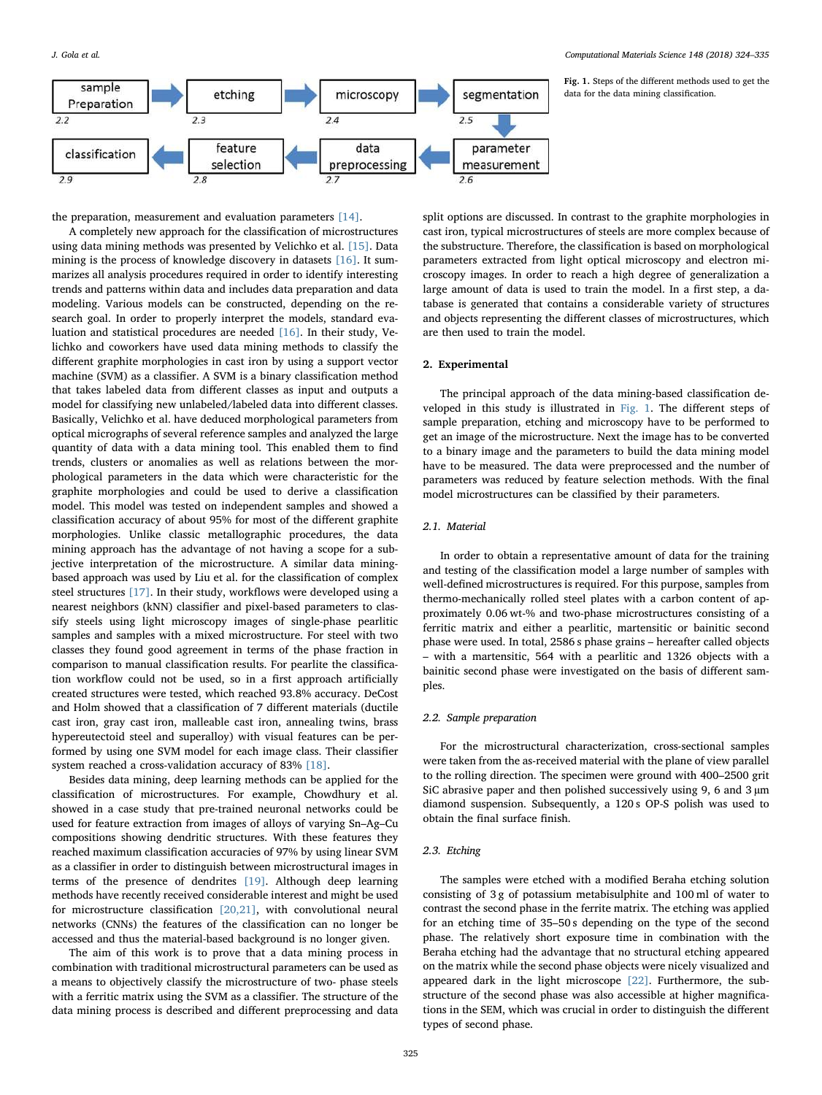<span id="page-1-0"></span>

the preparation, measurement and evaluation parameters [\[14\].](#page-11-7)

A completely new approach for the classification of microstructures using data mining methods was presented by Velichko et al. [\[15\].](#page-11-8) Data mining is the process of knowledge discovery in datasets [\[16\].](#page-11-9) It summarizes all analysis procedures required in order to identify interesting trends and patterns within data and includes data preparation and data modeling. Various models can be constructed, depending on the research goal. In order to properly interpret the models, standard evaluation and statistical procedures are needed [\[16\].](#page-11-9) In their study, Velichko and coworkers have used data mining methods to classify the different graphite morphologies in cast iron by using a support vector machine (SVM) as a classifier. A SVM is a binary classification method that takes labeled data from different classes as input and outputs a model for classifying new unlabeled/labeled data into different classes. Basically, Velichko et al. have deduced morphological parameters from optical micrographs of several reference samples and analyzed the large quantity of data with a data mining tool. This enabled them to find trends, clusters or anomalies as well as relations between the morphological parameters in the data which were characteristic for the graphite morphologies and could be used to derive a classification model. This model was tested on independent samples and showed a classification accuracy of about 95% for most of the different graphite morphologies. Unlike classic metallographic procedures, the data mining approach has the advantage of not having a scope for a subjective interpretation of the microstructure. A similar data miningbased approach was used by Liu et al. for the classification of complex steel structures [\[17\].](#page-11-10) In their study, workflows were developed using a nearest neighbors (kNN) classifier and pixel-based parameters to classify steels using light microscopy images of single-phase pearlitic samples and samples with a mixed microstructure. For steel with two classes they found good agreement in terms of the phase fraction in comparison to manual classification results. For pearlite the classification workflow could not be used, so in a first approach artificially created structures were tested, which reached 93.8% accuracy. DeCost and Holm showed that a classification of 7 different materials (ductile cast iron, gray cast iron, malleable cast iron, annealing twins, brass hypereutectoid steel and superalloy) with visual features can be performed by using one SVM model for each image class. Their classifier system reached a cross-validation accuracy of 83% [\[18\]](#page-11-11).

Besides data mining, deep learning methods can be applied for the classification of microstructures. For example, Chowdhury et al. showed in a case study that pre-trained neuronal networks could be used for feature extraction from images of alloys of varying Sn–Ag–Cu compositions showing dendritic structures. With these features they reached maximum classification accuracies of 97% by using linear SVM as a classifier in order to distinguish between microstructural images in terms of the presence of dendrites [\[19\]](#page-11-12). Although deep learning methods have recently received considerable interest and might be used for microstructure classification [\[20,21\],](#page-11-13) with convolutional neural networks (CNNs) the features of the classification can no longer be accessed and thus the material-based background is no longer given.

The aim of this work is to prove that a data mining process in combination with traditional microstructural parameters can be used as a means to objectively classify the microstructure of two- phase steels with a ferritic matrix using the SVM as a classifier. The structure of the data mining process is described and different preprocessing and data

split options are discussed. In contrast to the graphite morphologies in cast iron, typical microstructures of steels are more complex because of the substructure. Therefore, the classification is based on morphological parameters extracted from light optical microscopy and electron microscopy images. In order to reach a high degree of generalization a large amount of data is used to train the model. In a first step, a database is generated that contains a considerable variety of structures and objects representing the different classes of microstructures, which are then used to train the model.

### 2. Experimental

The principal approach of the data mining-based classification developed in this study is illustrated in [Fig. 1](#page-1-0). The different steps of sample preparation, etching and microscopy have to be performed to get an image of the microstructure. Next the image has to be converted to a binary image and the parameters to build the data mining model have to be measured. The data were preprocessed and the number of parameters was reduced by feature selection methods. With the final model microstructures can be classified by their parameters.

### 2.1. Material

In order to obtain a representative amount of data for the training and testing of the classification model a large number of samples with well-defined microstructures is required. For this purpose, samples from thermo-mechanically rolled steel plates with a carbon content of approximately 0.06 wt-% and two-phase microstructures consisting of a ferritic matrix and either a pearlitic, martensitic or bainitic second phase were used. In total, 2586 s phase grains – hereafter called objects – with a martensitic, 564 with a pearlitic and 1326 objects with a bainitic second phase were investigated on the basis of different samples.

### 2.2. Sample preparation

For the microstructural characterization, cross-sectional samples were taken from the as-received material with the plane of view parallel to the rolling direction. The specimen were ground with 400–2500 grit SiC abrasive paper and then polished successively using 9, 6 and 3  $\mu$ m diamond suspension. Subsequently, a 120 s OP-S polish was used to obtain the final surface finish.

### 2.3. Etching

The samples were etched with a modified Beraha etching solution consisting of 3 g of potassium metabisulphite and 100 ml of water to contrast the second phase in the ferrite matrix. The etching was applied for an etching time of 35–50 s depending on the type of the second phase. The relatively short exposure time in combination with the Beraha etching had the advantage that no structural etching appeared on the matrix while the second phase objects were nicely visualized and appeared dark in the light microscope [\[22\]](#page-11-14). Furthermore, the substructure of the second phase was also accessible at higher magnifications in the SEM, which was crucial in order to distinguish the different types of second phase.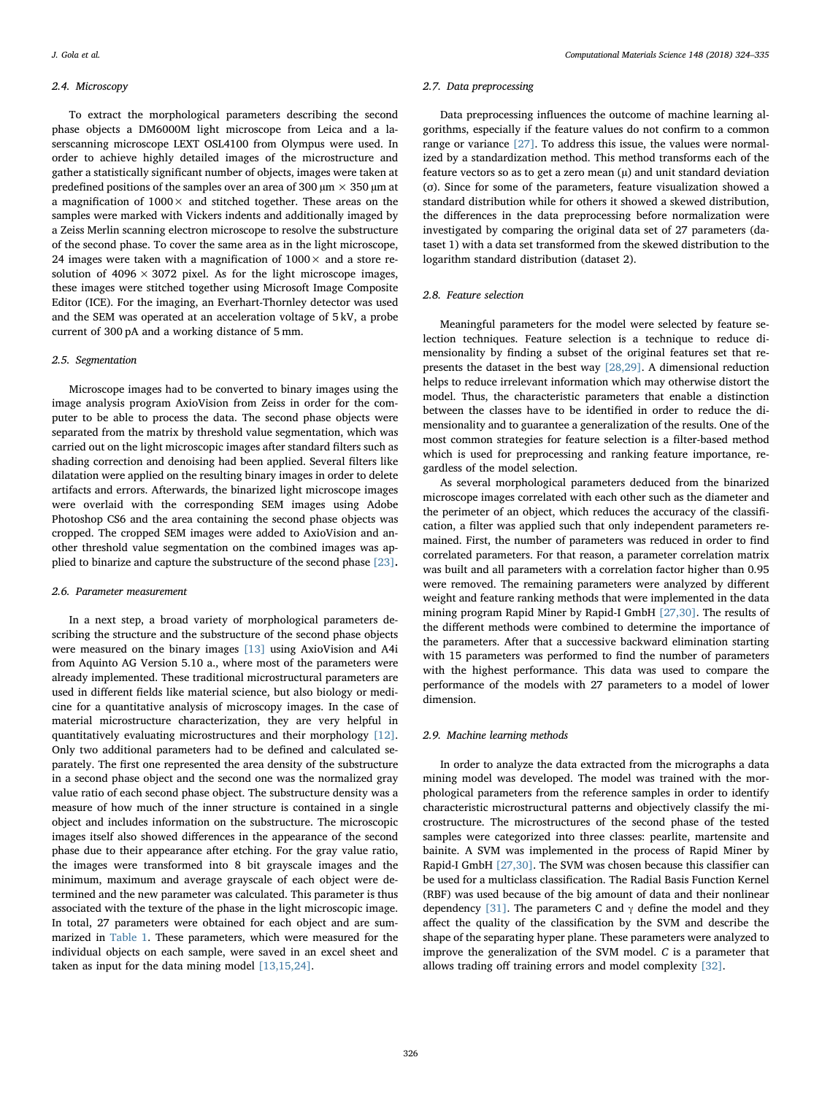### 2.4. Microscopy

To extract the morphological parameters describing the second phase objects a DM6000M light microscope from Leica and a laserscanning microscope LEXT OSL4100 from Olympus were used. In order to achieve highly detailed images of the microstructure and gather a statistically significant number of objects, images were taken at predefined positions of the samples over an area of 300  $\mu$ m  $\times$  350  $\mu$ m at a magnification of  $1000 \times$  and stitched together. These areas on the samples were marked with Vickers indents and additionally imaged by a Zeiss Merlin scanning electron microscope to resolve the substructure of the second phase. To cover the same area as in the light microscope, 24 images were taken with a magnification of  $1000 \times$  and a store resolution of  $4096 \times 3072$  pixel. As for the light microscope images, these images were stitched together using Microsoft Image Composite Editor (ICE). For the imaging, an Everhart-Thornley detector was used and the SEM was operated at an acceleration voltage of 5 kV, a probe current of 300 pA and a working distance of 5 mm.

### 2.5. Segmentation

Microscope images had to be converted to binary images using the image analysis program AxioVision from Zeiss in order for the computer to be able to process the data. The second phase objects were separated from the matrix by threshold value segmentation, which was carried out on the light microscopic images after standard filters such as shading correction and denoising had been applied. Several filters like dilatation were applied on the resulting binary images in order to delete artifacts and errors. Afterwards, the binarized light microscope images were overlaid with the corresponding SEM images using Adobe Photoshop CS6 and the area containing the second phase objects was cropped. The cropped SEM images were added to AxioVision and another threshold value segmentation on the combined images was applied to binarize and capture the substructure of the second phase [\[23\]](#page-11-15).

### 2.6. Parameter measurement

In a next step, a broad variety of morphological parameters describing the structure and the substructure of the second phase objects were measured on the binary images [\[13\]](#page-11-16) using AxioVision and A4i from Aquinto AG Version 5.10 a., where most of the parameters were already implemented. These traditional microstructural parameters are used in different fields like material science, but also biology or medicine for a quantitative analysis of microscopy images. In the case of material microstructure characterization, they are very helpful in quantitatively evaluating microstructures and their morphology [\[12\]](#page-11-17). Only two additional parameters had to be defined and calculated separately. The first one represented the area density of the substructure in a second phase object and the second one was the normalized gray value ratio of each second phase object. The substructure density was a measure of how much of the inner structure is contained in a single object and includes information on the substructure. The microscopic images itself also showed differences in the appearance of the second phase due to their appearance after etching. For the gray value ratio, the images were transformed into 8 bit grayscale images and the minimum, maximum and average grayscale of each object were determined and the new parameter was calculated. This parameter is thus associated with the texture of the phase in the light microscopic image. In total, 27 parameters were obtained for each object and are summarized in [Table 1](#page-3-0). These parameters, which were measured for the individual objects on each sample, were saved in an excel sheet and taken as input for the data mining model [\[13,15,24\].](#page-11-16)

### 2.7. Data preprocessing

Data preprocessing influences the outcome of machine learning algorithms, especially if the feature values do not confirm to a common range or variance [\[27\].](#page-11-18) To address this issue, the values were normalized by a standardization method. This method transforms each of the feature vectors so as to get a zero mean  $(\mu)$  and unit standard deviation (σ). Since for some of the parameters, feature visualization showed a standard distribution while for others it showed a skewed distribution, the differences in the data preprocessing before normalization were investigated by comparing the original data set of 27 parameters (dataset 1) with a data set transformed from the skewed distribution to the logarithm standard distribution (dataset 2).

### 2.8. Feature selection

Meaningful parameters for the model were selected by feature selection techniques. Feature selection is a technique to reduce dimensionality by finding a subset of the original features set that represents the dataset in the best way [\[28,29\]](#page-11-19). A dimensional reduction helps to reduce irrelevant information which may otherwise distort the model. Thus, the characteristic parameters that enable a distinction between the classes have to be identified in order to reduce the dimensionality and to guarantee a generalization of the results. One of the most common strategies for feature selection is a filter-based method which is used for preprocessing and ranking feature importance, regardless of the model selection.

As several morphological parameters deduced from the binarized microscope images correlated with each other such as the diameter and the perimeter of an object, which reduces the accuracy of the classification, a filter was applied such that only independent parameters remained. First, the number of parameters was reduced in order to find correlated parameters. For that reason, a parameter correlation matrix was built and all parameters with a correlation factor higher than 0.95 were removed. The remaining parameters were analyzed by different weight and feature ranking methods that were implemented in the data mining program Rapid Miner by Rapid-I GmbH [\[27,30\].](#page-11-18) The results of the different methods were combined to determine the importance of the parameters. After that a successive backward elimination starting with 15 parameters was performed to find the number of parameters with the highest performance. This data was used to compare the performance of the models with 27 parameters to a model of lower dimension.

### 2.9. Machine learning methods

In order to analyze the data extracted from the micrographs a data mining model was developed. The model was trained with the morphological parameters from the reference samples in order to identify characteristic microstructural patterns and objectively classify the microstructure. The microstructures of the second phase of the tested samples were categorized into three classes: pearlite, martensite and bainite. A SVM was implemented in the process of Rapid Miner by Rapid-I GmbH [\[27,30\]](#page-11-18). The SVM was chosen because this classifier can be used for a multiclass classification. The Radial Basis Function Kernel (RBF) was used because of the big amount of data and their nonlinear dependency [\[31\]](#page-11-20). The parameters C and  $\gamma$  define the model and they affect the quality of the classification by the SVM and describe the shape of the separating hyper plane. These parameters were analyzed to improve the generalization of the SVM model. C is a parameter that allows trading off training errors and model complexity [\[32\].](#page-11-21)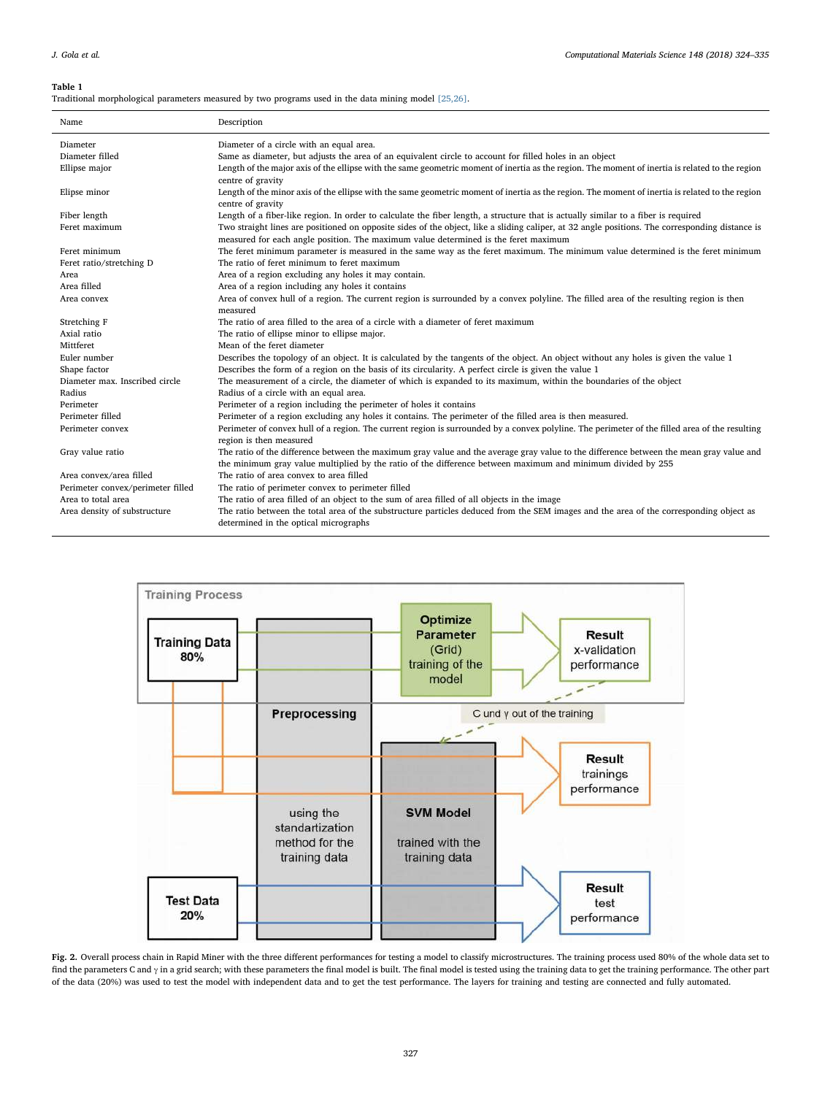<span id="page-3-0"></span>Traditional morphological parameters measured by two programs used in the data mining model [\[25,26\].](#page-11-22)

| Name                              | Description                                                                                                                                                                     |
|-----------------------------------|---------------------------------------------------------------------------------------------------------------------------------------------------------------------------------|
| Diameter                          | Diameter of a circle with an equal area.                                                                                                                                        |
| Diameter filled                   | Same as diameter, but adjusts the area of an equivalent circle to account for filled holes in an object                                                                         |
| Ellipse major                     | Length of the major axis of the ellipse with the same geometric moment of inertia as the region. The moment of inertia is related to the region<br>centre of gravity            |
| Elipse minor                      | Length of the minor axis of the ellipse with the same geometric moment of inertia as the region. The moment of inertia is related to the region<br>centre of gravity            |
| Fiber length                      | Length of a fiber-like region. In order to calculate the fiber length, a structure that is actually similar to a fiber is required                                              |
| Feret maximum                     | Two straight lines are positioned on opposite sides of the object, like a sliding caliper, at 32 angle positions. The corresponding distance is                                 |
|                                   | measured for each angle position. The maximum value determined is the feret maximum                                                                                             |
| Feret minimum                     | The feret minimum parameter is measured in the same way as the feret maximum. The minimum value determined is the feret minimum                                                 |
| Feret ratio/stretching D          | The ratio of feret minimum to feret maximum                                                                                                                                     |
| Area                              | Area of a region excluding any holes it may contain.                                                                                                                            |
| Area filled                       | Area of a region including any holes it contains                                                                                                                                |
| Area convex                       | Area of convex hull of a region. The current region is surrounded by a convex polyline. The filled area of the resulting region is then<br>measured                             |
| Stretching F                      | The ratio of area filled to the area of a circle with a diameter of feret maximum                                                                                               |
| Axial ratio                       | The ratio of ellipse minor to ellipse major.                                                                                                                                    |
| Mittferet                         | Mean of the feret diameter                                                                                                                                                      |
| Euler number                      | Describes the topology of an object. It is calculated by the tangents of the object. An object without any holes is given the value 1                                           |
| Shape factor                      | Describes the form of a region on the basis of its circularity. A perfect circle is given the value 1                                                                           |
| Diameter max. Inscribed circle    | The measurement of a circle, the diameter of which is expanded to its maximum, within the boundaries of the object                                                              |
| Radius                            | Radius of a circle with an equal area.                                                                                                                                          |
| Perimeter                         | Perimeter of a region including the perimeter of holes it contains                                                                                                              |
| Perimeter filled                  | Perimeter of a region excluding any holes it contains. The perimeter of the filled area is then measured.                                                                       |
| Perimeter convex                  | Perimeter of convex hull of a region. The current region is surrounded by a convex polyline. The perimeter of the filled area of the resulting                                  |
|                                   | region is then measured                                                                                                                                                         |
| Gray value ratio                  | The ratio of the difference between the maximum gray value and the average gray value to the difference between the mean gray value and                                         |
|                                   | the minimum gray value multiplied by the ratio of the difference between maximum and minimum divided by 255                                                                     |
| Area convex/area filled           | The ratio of area convex to area filled                                                                                                                                         |
| Perimeter convex/perimeter filled | The ratio of perimeter convex to perimeter filled                                                                                                                               |
| Area to total area                | The ratio of area filled of an object to the sum of area filled of all objects in the image                                                                                     |
| Area density of substructure      | The ratio between the total area of the substructure particles deduced from the SEM images and the area of the corresponding object as<br>determined in the optical micrographs |

<span id="page-3-1"></span>

Fig. 2. Overall process chain in Rapid Miner with the three different performances for testing a model to classify microstructures. The training process used 80% of the whole data set to find the parameters C and  $\gamma$  in a grid search; with these parameters the final model is built. The final model is tested using the training data to get the training performance. The other part of the data (20%) was used to test the model with independent data and to get the test performance. The layers for training and testing are connected and fully automated.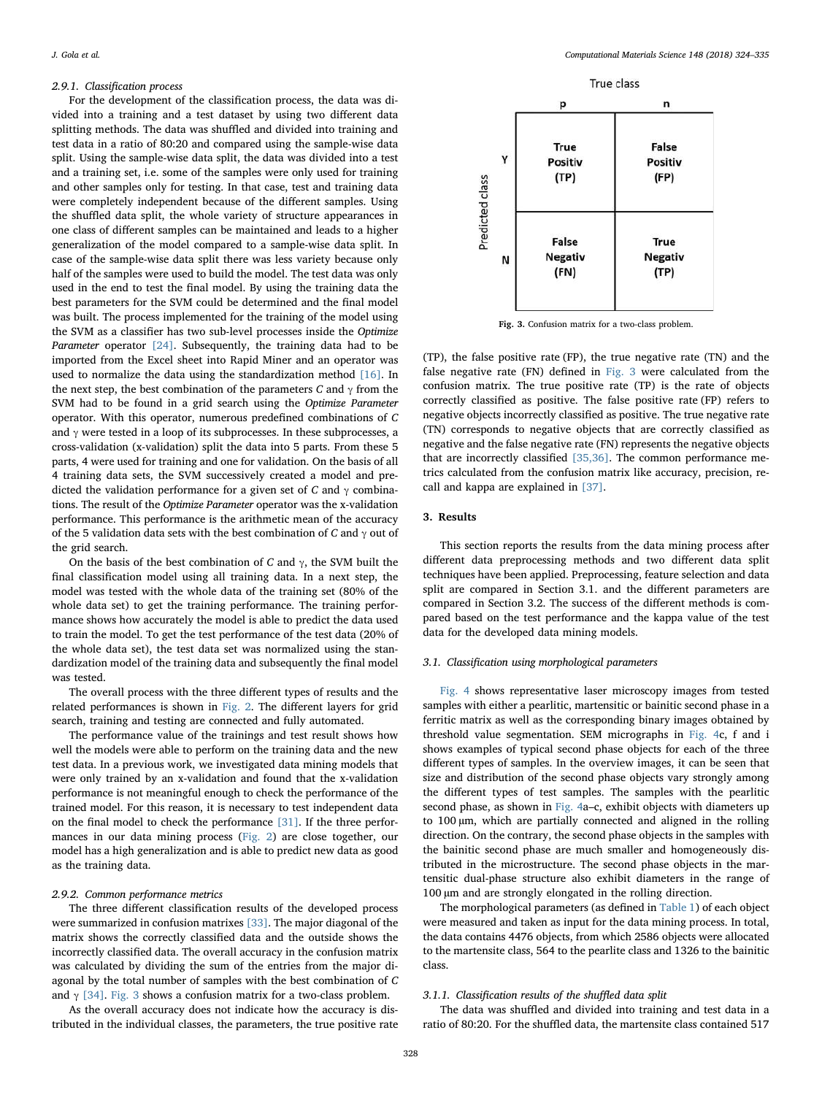### 2.9.1. Classification process

For the development of the classification process, the data was divided into a training and a test dataset by using two different data splitting methods. The data was shuffled and divided into training and test data in a ratio of 80:20 and compared using the sample-wise data split. Using the sample-wise data split, the data was divided into a test and a training set, i.e. some of the samples were only used for training and other samples only for testing. In that case, test and training data were completely independent because of the different samples. Using the shuffled data split, the whole variety of structure appearances in one class of different samples can be maintained and leads to a higher generalization of the model compared to a sample-wise data split. In case of the sample-wise data split there was less variety because only half of the samples were used to build the model. The test data was only used in the end to test the final model. By using the training data the best parameters for the SVM could be determined and the final model was built. The process implemented for the training of the model using the SVM as a classifier has two sub-level processes inside the Optimize Parameter operator [\[24\].](#page-11-23) Subsequently, the training data had to be imported from the Excel sheet into Rapid Miner and an operator was used to normalize the data using the standardization method [\[16\]](#page-11-9). In the next step, the best combination of the parameters  $C$  and  $\gamma$  from the SVM had to be found in a grid search using the Optimize Parameter operator. With this operator, numerous predefined combinations of C and  $\gamma$  were tested in a loop of its subprocesses. In these subprocesses, a cross-validation (x-validation) split the data into 5 parts. From these 5 parts, 4 were used for training and one for validation. On the basis of all 4 training data sets, the SVM successively created a model and predicted the validation performance for a given set of  $C$  and  $\gamma$  combinations. The result of the Optimize Parameter operator was the x-validation performance. This performance is the arithmetic mean of the accuracy of the 5 validation data sets with the best combination of C and  $\gamma$  out of the grid search.

On the basis of the best combination of C and  $\gamma$ , the SVM built the final classification model using all training data. In a next step, the model was tested with the whole data of the training set (80% of the whole data set) to get the training performance. The training performance shows how accurately the model is able to predict the data used to train the model. To get the test performance of the test data (20% of the whole data set), the test data set was normalized using the standardization model of the training data and subsequently the final model was tested.

The overall process with the three different types of results and the related performances is shown in [Fig. 2.](#page-3-1) The different layers for grid search, training and testing are connected and fully automated.

The performance value of the trainings and test result shows how well the models were able to perform on the training data and the new test data. In a previous work, we investigated data mining models that were only trained by an x-validation and found that the x-validation performance is not meaningful enough to check the performance of the trained model. For this reason, it is necessary to test independent data on the final model to check the performance [\[31\].](#page-11-20) If the three performances in our data mining process ([Fig. 2](#page-3-1)) are close together, our model has a high generalization and is able to predict new data as good as the training data.

### 2.9.2. Common performance metrics

The three different classification results of the developed process were summarized in confusion matrixes [\[33\]](#page-11-24). The major diagonal of the matrix shows the correctly classified data and the outside shows the incorrectly classified data. The overall accuracy in the confusion matrix was calculated by dividing the sum of the entries from the major diagonal by the total number of samples with the best combination of C and  $\gamma$  [\[34\].](#page-11-25) [Fig. 3](#page-4-0) shows a confusion matrix for a two-class problem.

As the overall accuracy does not indicate how the accuracy is distributed in the individual classes, the parameters, the true positive rate

<span id="page-4-0"></span>

Fig. 3. Confusion matrix for a two-class problem.

(TP), the false positive rate (FP), the true negative rate (TN) and the false negative rate (FN) defined in [Fig. 3](#page-4-0) were calculated from the confusion matrix. The true positive rate (TP) is the rate of objects correctly classified as positive. The false positive rate (FP) refers to negative objects incorrectly classified as positive. The true negative rate (TN) corresponds to negative objects that are correctly classified as negative and the false negative rate (FN) represents the negative objects that are incorrectly classified [\[35,36\].](#page-11-26) The common performance metrics calculated from the confusion matrix like accuracy, precision, recall and kappa are explained in [\[37\]](#page-11-27).

## 3. Results

This section reports the results from the data mining process after different data preprocessing methods and two different data split techniques have been applied. Preprocessing, feature selection and data split are compared in Section 3.1. and the different parameters are compared in Section 3.2. The success of the different methods is compared based on the test performance and the kappa value of the test data for the developed data mining models.

### 3.1. Classification using morphological parameters

[Fig. 4](#page-5-0) shows representative laser microscopy images from tested samples with either a pearlitic, martensitic or bainitic second phase in a ferritic matrix as well as the corresponding binary images obtained by threshold value segmentation. SEM micrographs in [Fig. 4](#page-5-0)c, f and i shows examples of typical second phase objects for each of the three different types of samples. In the overview images, it can be seen that size and distribution of the second phase objects vary strongly among the different types of test samples. The samples with the pearlitic second phase, as shown in [Fig. 4a](#page-5-0)–c, exhibit objects with diameters up to 100 µm, which are partially connected and aligned in the rolling direction. On the contrary, the second phase objects in the samples with the bainitic second phase are much smaller and homogeneously distributed in the microstructure. The second phase objects in the martensitic dual-phase structure also exhibit diameters in the range of 100  $\mu$ m and are strongly elongated in the rolling direction.

The morphological parameters (as defined in [Table 1](#page-3-0)) of each object were measured and taken as input for the data mining process. In total, the data contains 4476 objects, from which 2586 objects were allocated to the martensite class, 564 to the pearlite class and 1326 to the bainitic class.

### 3.1.1. Classification results of the shuffled data split

The data was shuffled and divided into training and test data in a ratio of 80:20. For the shuffled data, the martensite class contained 517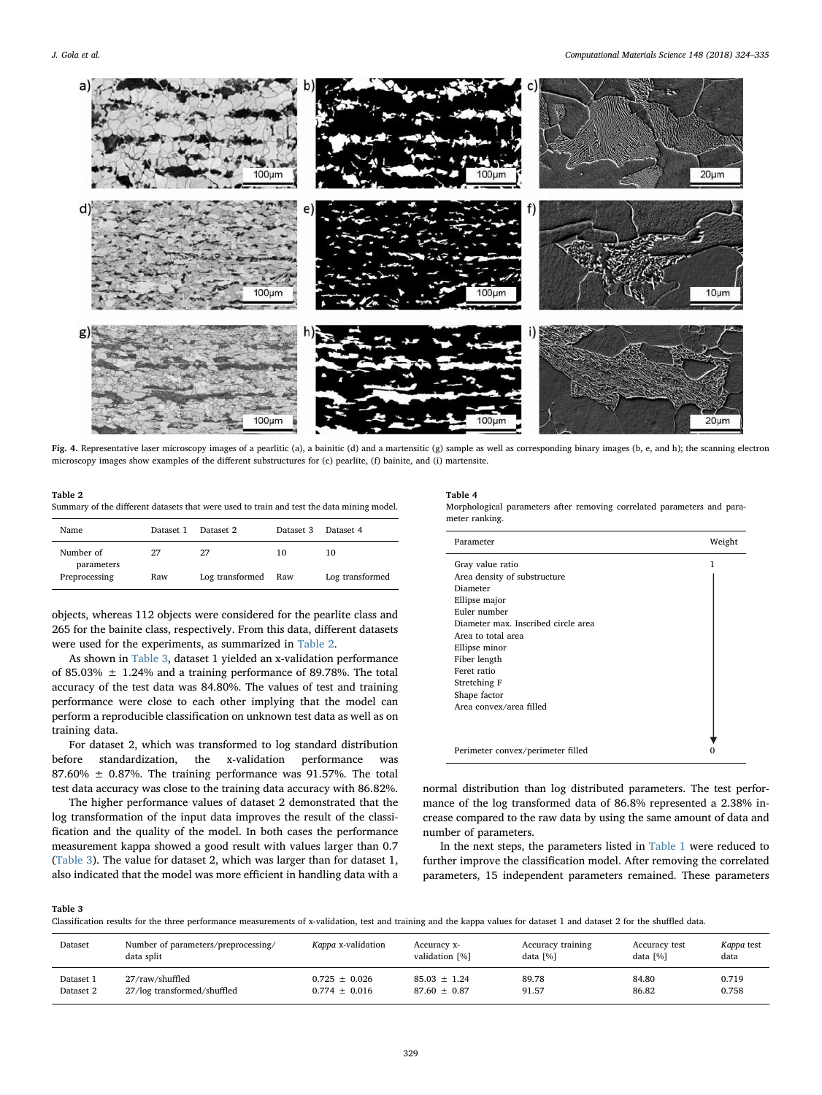<span id="page-5-0"></span>

Fig. 4. Representative laser microscopy images of a pearlitic (a), a bainitic (d) and a martensitic (g) sample as well as corresponding binary images (b, e, and h); the scanning electron microscopy images show examples of the different substructures for (c) pearlite, (f) bainite, and (i) martensite.

### <span id="page-5-1"></span>Table 2 Summary of the different datasets that were used to train and test the data mining model.

| Name                    | Dataset 1 | Dataset 2       | Dataset 3 | Dataset 4       |
|-------------------------|-----------|-----------------|-----------|-----------------|
| Number of<br>parameters | 27        | 27              | 10        | 10              |
| Preprocessing           | Raw       | Log transformed | Raw       | Log transformed |

objects, whereas 112 objects were considered for the pearlite class and 265 for the bainite class, respectively. From this data, different datasets were used for the experiments, as summarized in [Table 2](#page-5-1).

As shown in [Table 3,](#page-5-2) dataset 1 yielded an x-validation performance of 85.03%  $\pm$  1.24% and a training performance of 89.78%. The total accuracy of the test data was 84.80%. The values of test and training performance were close to each other implying that the model can perform a reproducible classification on unknown test data as well as on training data.

For dataset 2, which was transformed to log standard distribution before standardization, the x-validation performance was  $87.60\% \pm 0.87\%$ . The training performance was 91.57%. The total test data accuracy was close to the training data accuracy with 86.82%.

The higher performance values of dataset 2 demonstrated that the log transformation of the input data improves the result of the classification and the quality of the model. In both cases the performance measurement kappa showed a good result with values larger than 0.7 ([Table 3](#page-5-2)). The value for dataset 2, which was larger than for dataset 1, also indicated that the model was more efficient in handling data with a

### <span id="page-5-3"></span>Table 4

Morphological parameters after removing correlated parameters and parameter ranking.

| Parameter                           | Weight |
|-------------------------------------|--------|
| Gray value ratio                    | 1      |
| Area density of substructure        |        |
| Diameter                            |        |
| Ellipse major                       |        |
| Euler number                        |        |
| Diameter max. Inscribed circle area |        |
| Area to total area                  |        |
| Ellipse minor                       |        |
| Fiber length                        |        |
| Feret ratio                         |        |
| Stretching F                        |        |
| Shape factor                        |        |
| Area convex/area filled             |        |
|                                     |        |
| Perimeter convex/perimeter filled   |        |

normal distribution than log distributed parameters. The test performance of the log transformed data of 86.8% represented a 2.38% increase compared to the raw data by using the same amount of data and number of parameters.

In the next steps, the parameters listed in [Table 1](#page-3-0) were reduced to further improve the classification model. After removing the correlated parameters, 15 independent parameters remained. These parameters

<span id="page-5-2"></span>Table 3

Classification results for the three performance measurements of x-validation, test and training and the kappa values for dataset 1 and dataset 2 for the shuffled data.

| Dataset   | Number of parameters/preprocessing/<br>data split | Kappa x-validation | Accuracy x-<br>validation [%] | Accuracy training<br>data [%] | Accuracy test<br>data [%] | Kappa test<br>data |
|-----------|---------------------------------------------------|--------------------|-------------------------------|-------------------------------|---------------------------|--------------------|
| Dataset 1 | 27/raw/shuffled                                   | $0.725 \pm 0.026$  | $85.03 + 1.24$                | 89.78                         | 84.80                     | 0.719              |
| Dataset 2 | 27/log transformed/shuffled                       | $0.774 + 0.016$    | $87.60 + 0.87$                | 91.57                         | 86.82                     | 0.758              |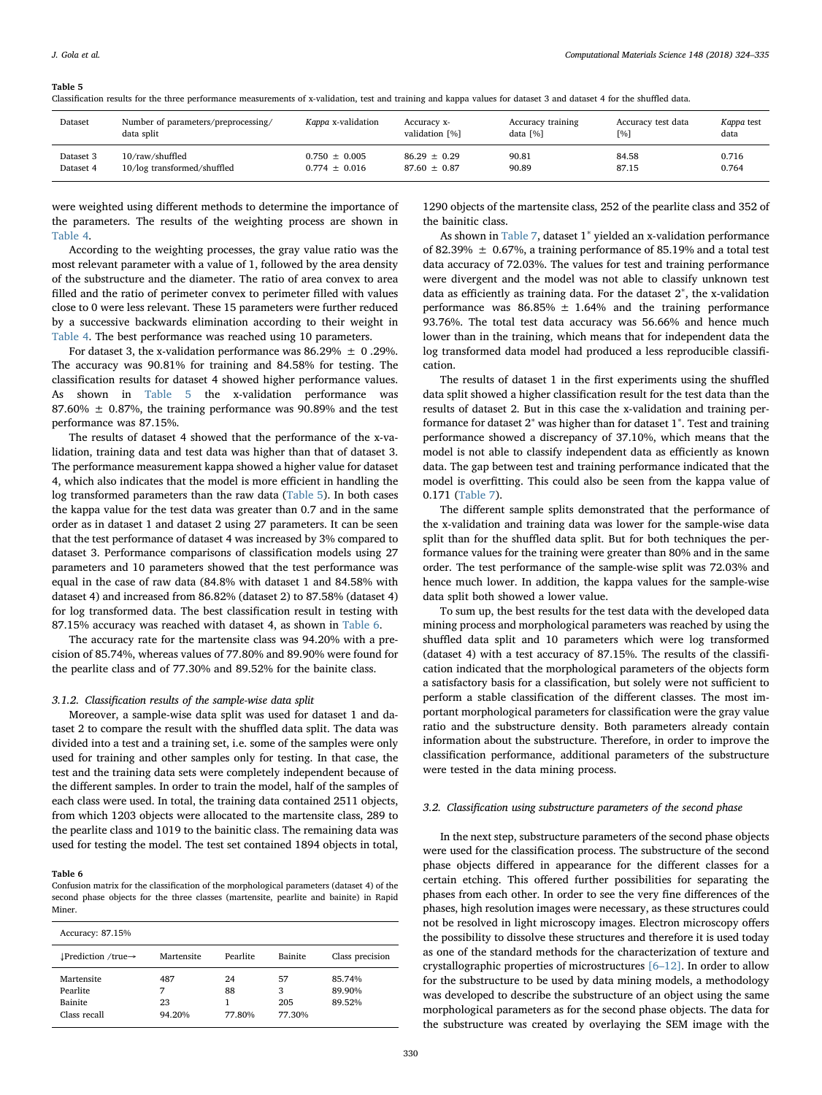<span id="page-6-0"></span>

| Dataset   | Number of parameters/preprocessing/<br>data split | Kappa x-validation | Accuracy x-<br>validation [%] | Accuracy training<br>data [%] | Accuracy test data<br>$\lceil 96 \rceil$ | Kappa test<br>data |
|-----------|---------------------------------------------------|--------------------|-------------------------------|-------------------------------|------------------------------------------|--------------------|
| Dataset 3 | 10/raw/shuffled                                   | $0.750 \pm 0.005$  | $86.29 \pm 0.29$              | 90.81                         | 84.58                                    | 0.716              |
| Dataset 4 | 10/log transformed/shuffled                       | $0.774 \pm 0.016$  | $87.60 \pm 0.87$              | 90.89                         | 87.15                                    | 0.764              |

were weighted using different methods to determine the importance of the parameters. The results of the weighting process are shown in [Table 4](#page-5-3).

According to the weighting processes, the gray value ratio was the most relevant parameter with a value of 1, followed by the area density of the substructure and the diameter. The ratio of area convex to area filled and the ratio of perimeter convex to perimeter filled with values close to 0 were less relevant. These 15 parameters were further reduced by a successive backwards elimination according to their weight in [Table 4](#page-5-3). The best performance was reached using 10 parameters.

For dataset 3, the x-validation performance was  $86.29\% \pm 0.29\%$ . The accuracy was 90.81% for training and 84.58% for testing. The classification results for dataset 4 showed higher performance values. As shown in [Table 5](#page-6-0) the x-validation performance was  $87.60\% \pm 0.87\%$ , the training performance was 90.89% and the test performance was 87.15%.

The results of dataset 4 showed that the performance of the x-validation, training data and test data was higher than that of dataset 3. The performance measurement kappa showed a higher value for dataset 4, which also indicates that the model is more efficient in handling the log transformed parameters than the raw data ([Table 5](#page-6-0)). In both cases the kappa value for the test data was greater than 0.7 and in the same order as in dataset 1 and dataset 2 using 27 parameters. It can be seen that the test performance of dataset 4 was increased by 3% compared to dataset 3. Performance comparisons of classification models using 27 parameters and 10 parameters showed that the test performance was equal in the case of raw data (84.8% with dataset 1 and 84.58% with dataset 4) and increased from 86.82% (dataset 2) to 87.58% (dataset 4) for log transformed data. The best classification result in testing with 87.15% accuracy was reached with dataset 4, as shown in [Table 6](#page-6-1).

The accuracy rate for the martensite class was 94.20% with a precision of 85.74%, whereas values of 77.80% and 89.90% were found for the pearlite class and of 77.30% and 89.52% for the bainite class.

### 3.1.2. Classification results of the sample-wise data split

Moreover, a sample-wise data split was used for dataset 1 and dataset 2 to compare the result with the shuffled data split. The data was divided into a test and a training set, i.e. some of the samples were only used for training and other samples only for testing. In that case, the test and the training data sets were completely independent because of the different samples. In order to train the model, half of the samples of each class were used. In total, the training data contained 2511 objects, from which 1203 objects were allocated to the martensite class, 289 to the pearlite class and 1019 to the bainitic class. The remaining data was used for testing the model. The test set contained 1894 objects in total,

#### <span id="page-6-1"></span>Table 6

Confusion matrix for the classification of the morphological parameters (dataset 4) of the second phase objects for the three classes (martensite, pearlite and bainite) in Rapid Miner.

| Accuracy: 87.15%                                         |                          |                    |                          |                            |
|----------------------------------------------------------|--------------------------|--------------------|--------------------------|----------------------------|
| ↓Prediction /true→                                       | Martensite               | Pearlite           | <b>Bainite</b>           | Class precision            |
| Martensite<br>Pearlite<br><b>Bainite</b><br>Class recall | 487<br>7<br>23<br>94.20% | 24<br>88<br>77.80% | 57<br>3<br>205<br>77.30% | 85.74%<br>89.90%<br>89.52% |

1290 objects of the martensite class, 252 of the pearlite class and 352 of the bainitic class.

As shown in [Table 7](#page-7-0), dataset 1<sup>∗</sup> yielded an x-validation performance of 82.39%  $\pm$  0.67%, a training performance of 85.19% and a total test data accuracy of 72.03%. The values for test and training performance were divergent and the model was not able to classify unknown test data as efficiently as training data. For the dataset 2<sup>∗</sup> , the x-validation performance was  $86.85\% \pm 1.64\%$  and the training performance 93.76%. The total test data accuracy was 56.66% and hence much lower than in the training, which means that for independent data the log transformed data model had produced a less reproducible classification.

The results of dataset 1 in the first experiments using the shuffled data split showed a higher classification result for the test data than the results of dataset 2. But in this case the x-validation and training performance for dataset 2<sup>∗</sup> was higher than for dataset 1<sup>∗</sup> . Test and training performance showed a discrepancy of 37.10%, which means that the model is not able to classify independent data as efficiently as known data. The gap between test and training performance indicated that the model is overfitting. This could also be seen from the kappa value of 0.171 [\(Table 7](#page-7-0)).

The different sample splits demonstrated that the performance of the x-validation and training data was lower for the sample-wise data split than for the shuffled data split. But for both techniques the performance values for the training were greater than 80% and in the same order. The test performance of the sample-wise split was 72.03% and hence much lower. In addition, the kappa values for the sample-wise data split both showed a lower value.

To sum up, the best results for the test data with the developed data mining process and morphological parameters was reached by using the shuffled data split and 10 parameters which were log transformed (dataset 4) with a test accuracy of 87.15%. The results of the classification indicated that the morphological parameters of the objects form a satisfactory basis for a classification, but solely were not sufficient to perform a stable classification of the different classes. The most important morphological parameters for classification were the gray value ratio and the substructure density. Both parameters already contain information about the substructure. Therefore, in order to improve the classification performance, additional parameters of the substructure were tested in the data mining process.

# 3.2. Classification using substructure parameters of the second phase

In the next step, substructure parameters of the second phase objects were used for the classification process. The substructure of the second phase objects differed in appearance for the different classes for a certain etching. This offered further possibilities for separating the phases from each other. In order to see the very fine differences of the phases, high resolution images were necessary, as these structures could not be resolved in light microscopy images. Electron microscopy offers the possibility to dissolve these structures and therefore it is used today as one of the standard methods for the characterization of texture and crystallographic properties of microstructures  $[6-12]$ . In order to allow for the substructure to be used by data mining models, a methodology was developed to describe the substructure of an object using the same morphological parameters as for the second phase objects. The data for the substructure was created by overlaying the SEM image with the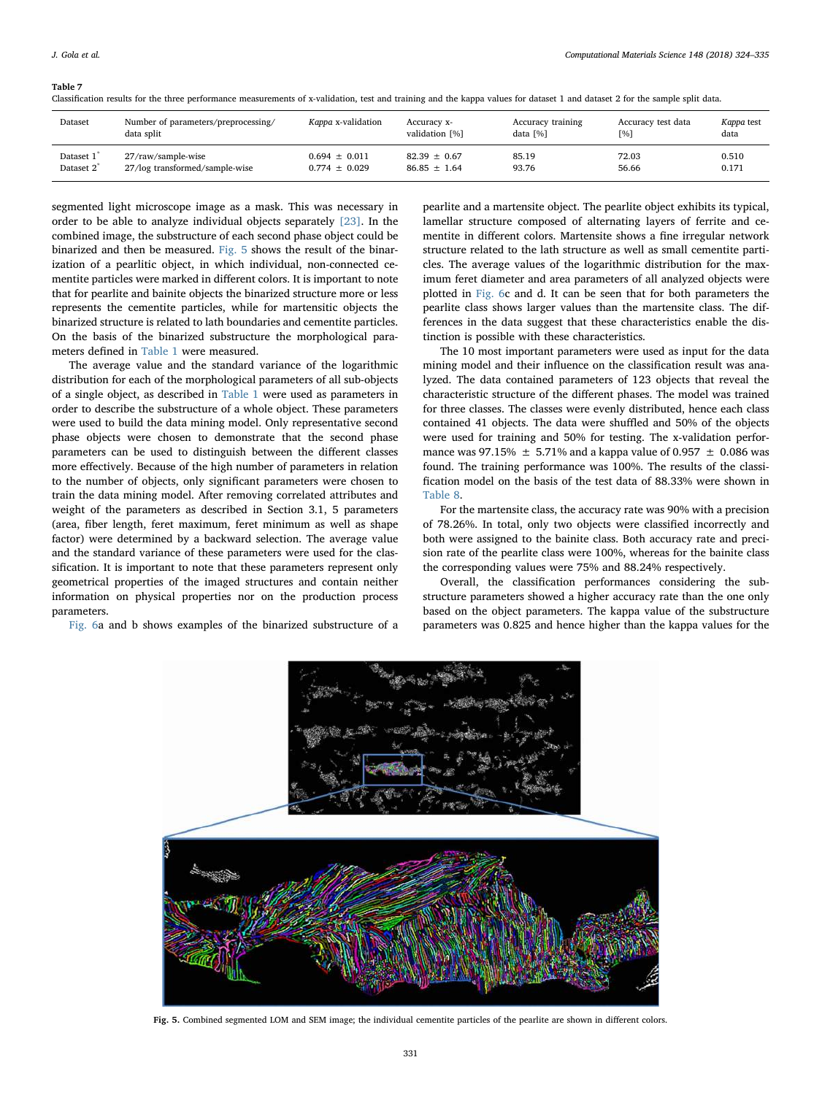<span id="page-7-0"></span>

| Classification results for the three performance measurements of x-validation, test and training and the kappa values for dataset 1 and dataset 2 for the sample split data |  |  |
|-----------------------------------------------------------------------------------------------------------------------------------------------------------------------------|--|--|
|                                                                                                                                                                             |  |  |
|                                                                                                                                                                             |  |  |

| Dataset   | Number of parameters/preprocessing/<br>data split | Kappa x-validation | Accuracy x-<br>validation [%] | Accuracy training<br>data [%] | Accuracy test data<br>[%] | Kappa test<br>data |
|-----------|---------------------------------------------------|--------------------|-------------------------------|-------------------------------|---------------------------|--------------------|
| Dataset 1 | 27/raw/sample-wise                                | $0.694 \pm 0.011$  | $82.39 \pm 0.67$              | 85.19                         | 72.03                     | 0.510              |
| Dataset 2 | 27/log transformed/sample-wise                    | $0.774 \pm 0.029$  | $86.85 \pm 1.64$              | 93.76                         | 56.66                     | 0.171              |

segmented light microscope image as a mask. This was necessary in order to be able to analyze individual objects separately [\[23\].](#page-11-15) In the combined image, the substructure of each second phase object could be binarized and then be measured. [Fig. 5](#page-7-1) shows the result of the binarization of a pearlitic object, in which individual, non-connected cementite particles were marked in different colors. It is important to note that for pearlite and bainite objects the binarized structure more or less represents the cementite particles, while for martensitic objects the binarized structure is related to lath boundaries and cementite particles. On the basis of the binarized substructure the morphological parameters defined in [Table 1](#page-3-0) were measured.

The average value and the standard variance of the logarithmic distribution for each of the morphological parameters of all sub-objects of a single object, as described in [Table 1](#page-3-0) were used as parameters in order to describe the substructure of a whole object. These parameters were used to build the data mining model. Only representative second phase objects were chosen to demonstrate that the second phase parameters can be used to distinguish between the different classes more effectively. Because of the high number of parameters in relation to the number of objects, only significant parameters were chosen to train the data mining model. After removing correlated attributes and weight of the parameters as described in Section 3.1, 5 parameters (area, fiber length, feret maximum, feret minimum as well as shape factor) were determined by a backward selection. The average value and the standard variance of these parameters were used for the classification. It is important to note that these parameters represent only geometrical properties of the imaged structures and contain neither information on physical properties nor on the production process parameters.

<span id="page-7-1"></span>[Fig. 6](#page-8-0)a and b shows examples of the binarized substructure of a

pearlite and a martensite object. The pearlite object exhibits its typical, lamellar structure composed of alternating layers of ferrite and cementite in different colors. Martensite shows a fine irregular network structure related to the lath structure as well as small cementite particles. The average values of the logarithmic distribution for the maximum feret diameter and area parameters of all analyzed objects were plotted in [Fig. 6](#page-8-0)c and d. It can be seen that for both parameters the pearlite class shows larger values than the martensite class. The differences in the data suggest that these characteristics enable the distinction is possible with these characteristics.

The 10 most important parameters were used as input for the data mining model and their influence on the classification result was analyzed. The data contained parameters of 123 objects that reveal the characteristic structure of the different phases. The model was trained for three classes. The classes were evenly distributed, hence each class contained 41 objects. The data were shuffled and 50% of the objects were used for training and 50% for testing. The x-validation performance was 97.15%  $\pm$  5.71% and a kappa value of 0.957  $\pm$  0.086 was found. The training performance was 100%. The results of the classification model on the basis of the test data of 88.33% were shown in [Table 8](#page-8-1).

For the martensite class, the accuracy rate was 90% with a precision of 78.26%. In total, only two objects were classified incorrectly and both were assigned to the bainite class. Both accuracy rate and precision rate of the pearlite class were 100%, whereas for the bainite class the corresponding values were 75% and 88.24% respectively.

Overall, the classification performances considering the substructure parameters showed a higher accuracy rate than the one only based on the object parameters. The kappa value of the substructure parameters was 0.825 and hence higher than the kappa values for the



Fig. 5. Combined segmented LOM and SEM image; the individual cementite particles of the pearlite are shown in different colors.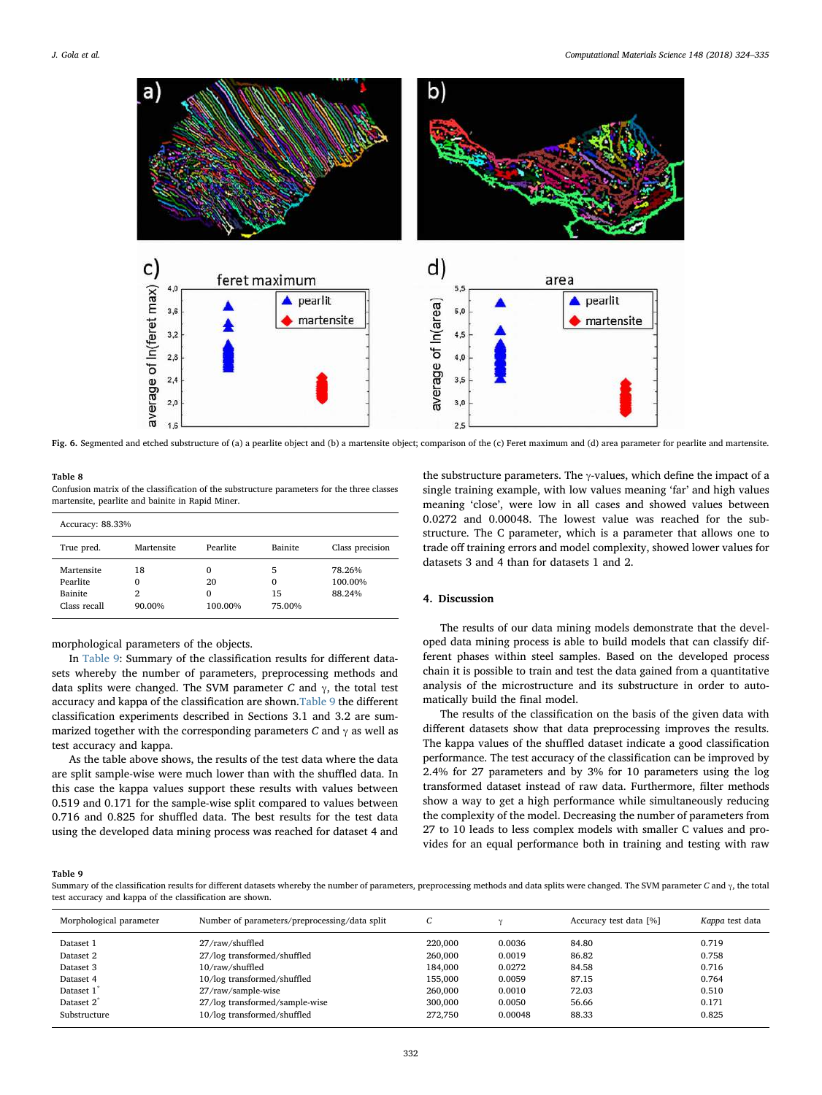<span id="page-8-0"></span>

Fig. 6. Segmented and etched substructure of (a) a pearlite object and (b) a martensite object; comparison of the (c) Feret maximum and (d) area parameter for pearlite and martensite.

<span id="page-8-1"></span>Confusion matrix of the classification of the substructure parameters for the three classes martensite, pearlite and bainite in Rapid Miner.

| Accuracy: 88.33%                                         |                        |                         |                        |                             |  |
|----------------------------------------------------------|------------------------|-------------------------|------------------------|-----------------------------|--|
| True pred.                                               | Martensite             | Pearlite                | <b>Bainite</b>         | Class precision             |  |
| Martensite<br>Pearlite<br><b>Bainite</b><br>Class recall | 18<br>0<br>2<br>90.00% | 0<br>20<br>0<br>100.00% | 5<br>0<br>15<br>75.00% | 78.26%<br>100.00%<br>88.24% |  |

morphological parameters of the objects.

In [Table 9:](#page-8-2) Summary of the classification results for different datasets whereby the number of parameters, preprocessing methods and data splits were changed. The SVM parameter C and  $\gamma$ , the total test accuracy and kappa of the classification are shown[.Table 9](#page-8-2) the different classification experiments described in Sections 3.1 and 3.2 are summarized together with the corresponding parameters  $C$  and  $\gamma$  as well as test accuracy and kappa.

As the table above shows, the results of the test data where the data are split sample-wise were much lower than with the shuffled data. In this case the kappa values support these results with values between 0.519 and 0.171 for the sample-wise split compared to values between 0.716 and 0.825 for shuffled data. The best results for the test data using the developed data mining process was reached for dataset 4 and the substructure parameters. The  $\gamma$ -values, which define the impact of a single training example, with low values meaning 'far' and high values meaning 'close', were low in all cases and showed values between 0.0272 and 0.00048. The lowest value was reached for the substructure. The C parameter, which is a parameter that allows one to trade off training errors and model complexity, showed lower values for datasets 3 and 4 than for datasets 1 and 2.

### 4. Discussion

The results of our data mining models demonstrate that the developed data mining process is able to build models that can classify different phases within steel samples. Based on the developed process chain it is possible to train and test the data gained from a quantitative analysis of the microstructure and its substructure in order to automatically build the final model.

The results of the classification on the basis of the given data with different datasets show that data preprocessing improves the results. The kappa values of the shuffled dataset indicate a good classification performance. The test accuracy of the classification can be improved by 2.4% for 27 parameters and by 3% for 10 parameters using the log transformed dataset instead of raw data. Furthermore, filter methods show a way to get a high performance while simultaneously reducing the complexity of the model. Decreasing the number of parameters from 27 to 10 leads to less complex models with smaller C values and provides for an equal performance both in training and testing with raw

<span id="page-8-2"></span>Table 9

Summary of the classification results for different datasets whereby the number of parameters, preprocessing methods and data splits were changed. The SVM parameter C and γ, the total test accuracy and kappa of the classification are shown.

| Morphological parameter | Number of parameters/preprocessing/data split |         |         | Accuracy test data [%] | Kappa test data |
|-------------------------|-----------------------------------------------|---------|---------|------------------------|-----------------|
| Dataset 1               | 27/raw/shuffled                               | 220,000 | 0.0036  | 84.80                  | 0.719           |
| Dataset 2               | 27/log transformed/shuffled                   | 260,000 | 0.0019  | 86.82                  | 0.758           |
| Dataset 3               | 10/raw/shuffled                               | 184.000 | 0.0272  | 84.58                  | 0.716           |
| Dataset 4               | 10/log transformed/shuffled                   | 155,000 | 0.0059  | 87.15                  | 0.764           |
| Dataset 1               | 27/raw/sample-wise                            | 260,000 | 0.0010  | 72.03                  | 0.510           |
| Dataset 2 <sup>°</sup>  | 27/log transformed/sample-wise                | 300,000 | 0.0050  | 56.66                  | 0.171           |
| Substructure            | 10/log transformed/shuffled                   | 272,750 | 0.00048 | 88.33                  | 0.825           |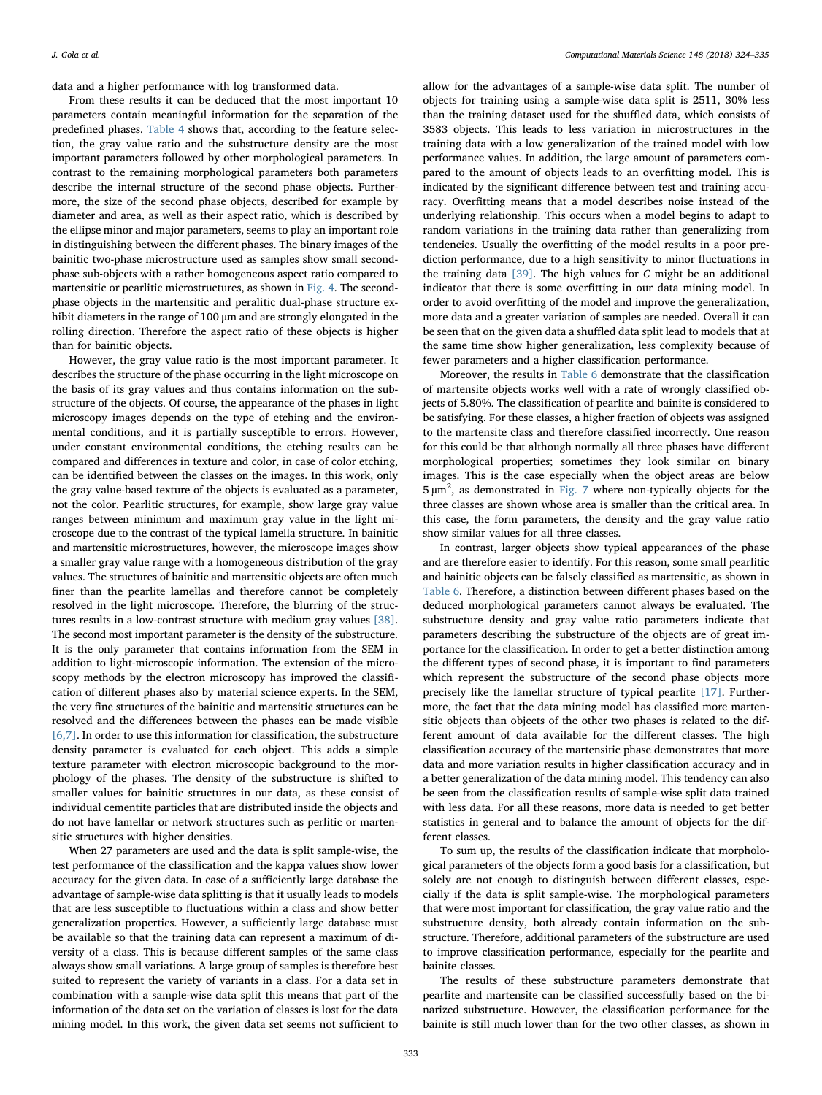data and a higher performance with log transformed data.

From these results it can be deduced that the most important 10 parameters contain meaningful information for the separation of the predefined phases. [Table 4](#page-5-3) shows that, according to the feature selection, the gray value ratio and the substructure density are the most important parameters followed by other morphological parameters. In contrast to the remaining morphological parameters both parameters describe the internal structure of the second phase objects. Furthermore, the size of the second phase objects, described for example by diameter and area, as well as their aspect ratio, which is described by the ellipse minor and major parameters, seems to play an important role in distinguishing between the different phases. The binary images of the bainitic two-phase microstructure used as samples show small secondphase sub-objects with a rather homogeneous aspect ratio compared to martensitic or pearlitic microstructures, as shown in [Fig. 4](#page-5-0). The secondphase objects in the martensitic and peralitic dual-phase structure exhibit diameters in the range of 100  $\mu$ m and are strongly elongated in the rolling direction. Therefore the aspect ratio of these objects is higher than for bainitic objects.

However, the gray value ratio is the most important parameter. It describes the structure of the phase occurring in the light microscope on the basis of its gray values and thus contains information on the substructure of the objects. Of course, the appearance of the phases in light microscopy images depends on the type of etching and the environmental conditions, and it is partially susceptible to errors. However, under constant environmental conditions, the etching results can be compared and differences in texture and color, in case of color etching, can be identified between the classes on the images. In this work, only the gray value-based texture of the objects is evaluated as a parameter, not the color. Pearlitic structures, for example, show large gray value ranges between minimum and maximum gray value in the light microscope due to the contrast of the typical lamella structure. In bainitic and martensitic microstructures, however, the microscope images show a smaller gray value range with a homogeneous distribution of the gray values. The structures of bainitic and martensitic objects are often much finer than the pearlite lamellas and therefore cannot be completely resolved in the light microscope. Therefore, the blurring of the structures results in a low-contrast structure with medium gray values [\[38\]](#page-11-28). The second most important parameter is the density of the substructure. It is the only parameter that contains information from the SEM in addition to light-microscopic information. The extension of the microscopy methods by the electron microscopy has improved the classification of different phases also by material science experts. In the SEM, the very fine structures of the bainitic and martensitic structures can be resolved and the differences between the phases can be made visible [\[6,7\].](#page-11-5) In order to use this information for classification, the substructure density parameter is evaluated for each object. This adds a simple texture parameter with electron microscopic background to the morphology of the phases. The density of the substructure is shifted to smaller values for bainitic structures in our data, as these consist of individual cementite particles that are distributed inside the objects and do not have lamellar or network structures such as perlitic or martensitic structures with higher densities.

When 27 parameters are used and the data is split sample-wise, the test performance of the classification and the kappa values show lower accuracy for the given data. In case of a sufficiently large database the advantage of sample-wise data splitting is that it usually leads to models that are less susceptible to fluctuations within a class and show better generalization properties. However, a sufficiently large database must be available so that the training data can represent a maximum of diversity of a class. This is because different samples of the same class always show small variations. A large group of samples is therefore best suited to represent the variety of variants in a class. For a data set in combination with a sample-wise data split this means that part of the information of the data set on the variation of classes is lost for the data mining model. In this work, the given data set seems not sufficient to

allow for the advantages of a sample-wise data split. The number of objects for training using a sample-wise data split is 2511, 30% less than the training dataset used for the shuffled data, which consists of 3583 objects. This leads to less variation in microstructures in the training data with a low generalization of the trained model with low performance values. In addition, the large amount of parameters compared to the amount of objects leads to an overfitting model. This is indicated by the significant difference between test and training accuracy. Overfitting means that a model describes noise instead of the underlying relationship. This occurs when a model begins to adapt to random variations in the training data rather than generalizing from tendencies. Usually the overfitting of the model results in a poor prediction performance, due to a high sensitivity to minor fluctuations in the training data [\[39\]](#page-11-29). The high values for C might be an additional indicator that there is some overfitting in our data mining model. In order to avoid overfitting of the model and improve the generalization, more data and a greater variation of samples are needed. Overall it can be seen that on the given data a shuffled data split lead to models that at the same time show higher generalization, less complexity because of fewer parameters and a higher classification performance.

Moreover, the results in [Table 6](#page-6-1) demonstrate that the classification of martensite objects works well with a rate of wrongly classified objects of 5.80%. The classification of pearlite and bainite is considered to be satisfying. For these classes, a higher fraction of objects was assigned to the martensite class and therefore classified incorrectly. One reason for this could be that although normally all three phases have different morphological properties; sometimes they look similar on binary images. This is the case especially when the object areas are below  $5 \mu m^2$ , as demonstrated in [Fig. 7](#page-10-0) where non-typically objects for the three classes are shown whose area is smaller than the critical area. In this case, the form parameters, the density and the gray value ratio show similar values for all three classes.

In contrast, larger objects show typical appearances of the phase and are therefore easier to identify. For this reason, some small pearlitic and bainitic objects can be falsely classified as martensitic, as shown in [Table 6.](#page-6-1) Therefore, a distinction between different phases based on the deduced morphological parameters cannot always be evaluated. The substructure density and gray value ratio parameters indicate that parameters describing the substructure of the objects are of great importance for the classification. In order to get a better distinction among the different types of second phase, it is important to find parameters which represent the substructure of the second phase objects more precisely like the lamellar structure of typical pearlite [\[17\]](#page-11-10). Furthermore, the fact that the data mining model has classified more martensitic objects than objects of the other two phases is related to the different amount of data available for the different classes. The high classification accuracy of the martensitic phase demonstrates that more data and more variation results in higher classification accuracy and in a better generalization of the data mining model. This tendency can also be seen from the classification results of sample-wise split data trained with less data. For all these reasons, more data is needed to get better statistics in general and to balance the amount of objects for the different classes.

To sum up, the results of the classification indicate that morphological parameters of the objects form a good basis for a classification, but solely are not enough to distinguish between different classes, especially if the data is split sample-wise. The morphological parameters that were most important for classification, the gray value ratio and the substructure density, both already contain information on the substructure. Therefore, additional parameters of the substructure are used to improve classification performance, especially for the pearlite and bainite classes.

The results of these substructure parameters demonstrate that pearlite and martensite can be classified successfully based on the binarized substructure. However, the classification performance for the bainite is still much lower than for the two other classes, as shown in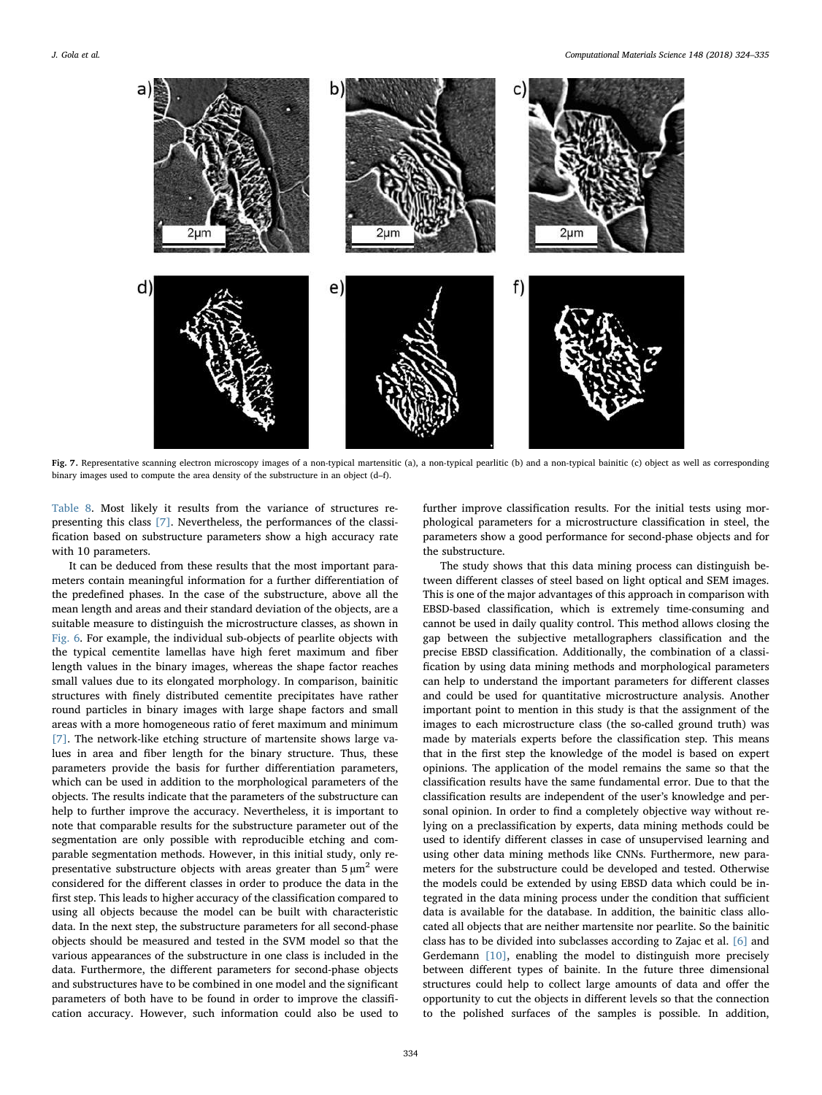<span id="page-10-0"></span>

Fig. 7. Representative scanning electron microscopy images of a non-typical martensitic (a), a non-typical pearlitic (b) and a non-typical bainitic (c) object as well as corresponding binary images used to compute the area density of the substructure in an object (d–f).

[Table 8](#page-8-1). Most likely it results from the variance of structures representing this class [\[7\].](#page-11-30) Nevertheless, the performances of the classification based on substructure parameters show a high accuracy rate with 10 parameters.

It can be deduced from these results that the most important parameters contain meaningful information for a further differentiation of the predefined phases. In the case of the substructure, above all the mean length and areas and their standard deviation of the objects, are a suitable measure to distinguish the microstructure classes, as shown in [Fig. 6.](#page-8-0) For example, the individual sub-objects of pearlite objects with the typical cementite lamellas have high feret maximum and fiber length values in the binary images, whereas the shape factor reaches small values due to its elongated morphology. In comparison, bainitic structures with finely distributed cementite precipitates have rather round particles in binary images with large shape factors and small areas with a more homogeneous ratio of feret maximum and minimum [\[7\].](#page-11-30) The network-like etching structure of martensite shows large values in area and fiber length for the binary structure. Thus, these parameters provide the basis for further differentiation parameters, which can be used in addition to the morphological parameters of the objects. The results indicate that the parameters of the substructure can help to further improve the accuracy. Nevertheless, it is important to note that comparable results for the substructure parameter out of the segmentation are only possible with reproducible etching and comparable segmentation methods. However, in this initial study, only representative substructure objects with areas greater than  $5 \mu m^2$  were considered for the different classes in order to produce the data in the first step. This leads to higher accuracy of the classification compared to using all objects because the model can be built with characteristic data. In the next step, the substructure parameters for all second-phase objects should be measured and tested in the SVM model so that the various appearances of the substructure in one class is included in the data. Furthermore, the different parameters for second-phase objects and substructures have to be combined in one model and the significant parameters of both have to be found in order to improve the classification accuracy. However, such information could also be used to

further improve classification results. For the initial tests using morphological parameters for a microstructure classification in steel, the parameters show a good performance for second-phase objects and for the substructure.

The study shows that this data mining process can distinguish between different classes of steel based on light optical and SEM images. This is one of the major advantages of this approach in comparison with EBSD-based classification, which is extremely time-consuming and cannot be used in daily quality control. This method allows closing the gap between the subjective metallographers classification and the precise EBSD classification. Additionally, the combination of a classification by using data mining methods and morphological parameters can help to understand the important parameters for different classes and could be used for quantitative microstructure analysis. Another important point to mention in this study is that the assignment of the images to each microstructure class (the so-called ground truth) was made by materials experts before the classification step. This means that in the first step the knowledge of the model is based on expert opinions. The application of the model remains the same so that the classification results have the same fundamental error. Due to that the classification results are independent of the user's knowledge and personal opinion. In order to find a completely objective way without relying on a preclassification by experts, data mining methods could be used to identify different classes in case of unsupervised learning and using other data mining methods like CNNs. Furthermore, new parameters for the substructure could be developed and tested. Otherwise the models could be extended by using EBSD data which could be integrated in the data mining process under the condition that sufficient data is available for the database. In addition, the bainitic class allocated all objects that are neither martensite nor pearlite. So the bainitic class has to be divided into subclasses according to Zajac et al. [\[6\]](#page-11-5) and Gerdemann [\[10\]](#page-11-31), enabling the model to distinguish more precisely between different types of bainite. In the future three dimensional structures could help to collect large amounts of data and offer the opportunity to cut the objects in different levels so that the connection to the polished surfaces of the samples is possible. In addition,